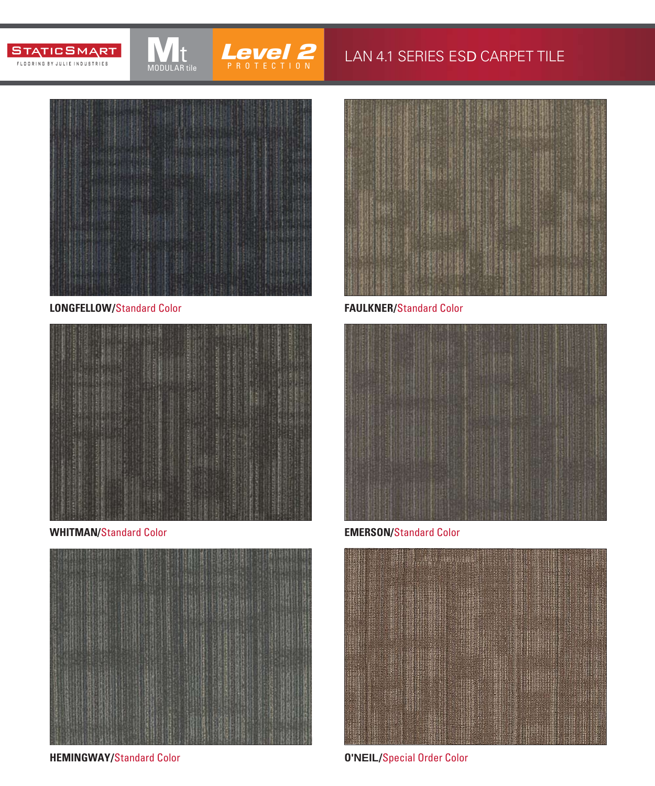



#### LAN 4.1 SERIES ESD CARPET TILE



MODULAR tile

**LONGFELLOW/**Standard Color



**WHITMAN/**Standard Color **EMERSON/**Standard Color



**HEMINGWAY/**Standard Color



**FAULKNER/**Standard Color





**O'NEIL/**Special Order Color